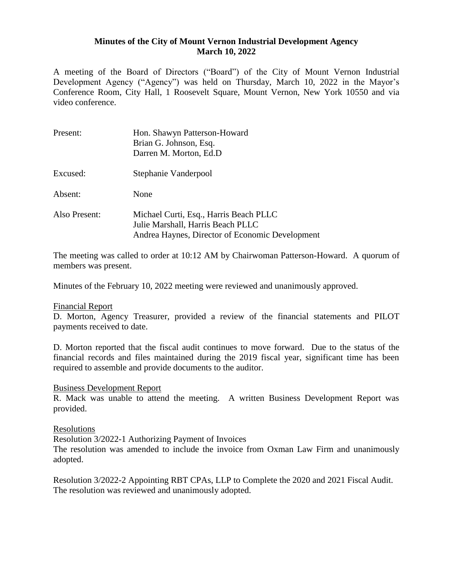## **Minutes of the City of Mount Vernon Industrial Development Agency March 10, 2022**

A meeting of the Board of Directors ("Board") of the City of Mount Vernon Industrial Development Agency ("Agency") was held on Thursday, March 10, 2022 in the Mayor's Conference Room, City Hall, 1 Roosevelt Square, Mount Vernon, New York 10550 and via video conference.

| Present:      | Hon. Shawyn Patterson-Howard<br>Brian G. Johnson, Esq.<br>Darren M. Morton, Ed.D.                                              |
|---------------|--------------------------------------------------------------------------------------------------------------------------------|
| Excused:      | Stephanie Vanderpool                                                                                                           |
| Absent:       | None                                                                                                                           |
| Also Present: | Michael Curti, Esq., Harris Beach PLLC<br>Julie Marshall, Harris Beach PLLC<br>Andrea Haynes, Director of Economic Development |

The meeting was called to order at 10:12 AM by Chairwoman Patterson-Howard. A quorum of members was present.

Minutes of the February 10, 2022 meeting were reviewed and unanimously approved.

## Financial Report

D. Morton, Agency Treasurer, provided a review of the financial statements and PILOT payments received to date.

D. Morton reported that the fiscal audit continues to move forward. Due to the status of the financial records and files maintained during the 2019 fiscal year, significant time has been required to assemble and provide documents to the auditor.

## Business Development Report

R. Mack was unable to attend the meeting. A written Business Development Report was provided.

## Resolutions

Resolution 3/2022-1 Authorizing Payment of Invoices

The resolution was amended to include the invoice from Oxman Law Firm and unanimously adopted.

Resolution 3/2022-2 Appointing RBT CPAs, LLP to Complete the 2020 and 2021 Fiscal Audit. The resolution was reviewed and unanimously adopted.